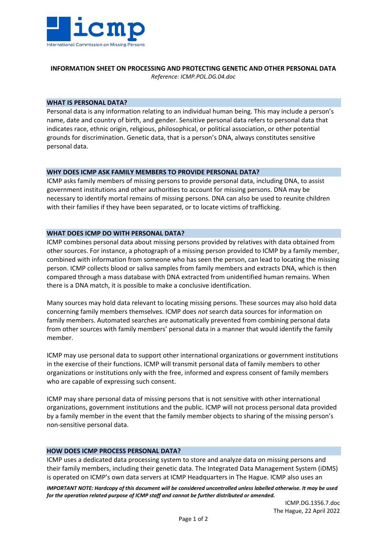

#### **INFORMATION SHEET ON PROCESSING AND PROTECTING GENETIC AND OTHER PERSONAL DATA** *Reference: ICMP.POL.DG.04.doc*

# **WHAT IS PERSONAL DATA?**

Personal data is any information relating to an individual human being. This may include a person's name, date and country of birth, and gender. Sensitive personal data refers to personal data that indicates race, ethnic origin, religious, philosophical, or political association, or other potential grounds for discrimination. Genetic data, that is a person's DNA, always constitutes sensitive personal data.

## **WHY DOES ICMP ASK FAMILY MEMBERS TO PROVIDE PERSONAL DATA?**

ICMP asks family members of missing persons to provide personal data, including DNA, to assist government institutions and other authorities to account for missing persons. DNA may be necessary to identify mortal remains of missing persons. DNA can also be used to reunite children with their families if they have been separated, or to locate victims of trafficking.

## **WHAT DOES ICMP DO WITH PERSONAL DATA?**

ICMP combines personal data about missing persons provided by relatives with data obtained from other sources. For instance, a photograph of a missing person provided to ICMP by a family member, combined with information from someone who has seen the person, can lead to locating the missing person. ICMP collects blood or saliva samples from family members and extracts DNA, which is then compared through a mass database with DNA extracted from unidentified human remains. When there is a DNA match, it is possible to make a conclusive identification.

Many sources may hold data relevant to locating missing persons. These sources may also hold data concerning family members themselves. ICMP does *not* search data sources for information on family members. Automated searches are automatically prevented from combining personal data from other sources with family members' personal data in a manner that would identify the family member.

ICMP may use personal data to support other international organizations or government institutions in the exercise of their functions. ICMP will transmit personal data of family members to other organizations or institutions only with the free, informed and express consent of family members who are capable of expressing such consent.

ICMP may share personal data of missing persons that is not sensitive with other international organizations, government institutions and the public. ICMP will not process personal data provided by a family member in the event that the family member objects to sharing of the missing person's non-sensitive personal data.

## **HOW DOES ICMP PROCESS PERSONAL DATA?**

ICMP uses a dedicated data processing system to store and analyze data on missing persons and their family members, including their genetic data. The Integrated Data Management System (iDMS) is operated on ICMP's own data servers at ICMP Headquarters in The Hague. ICMP also uses an

*IMPORTANT NOTE: Hardcopy of this document will be considered uncontrolled unless labelled otherwise. It may be used for the operation related purpose of ICMP staff and cannot be further distributed or amended.*